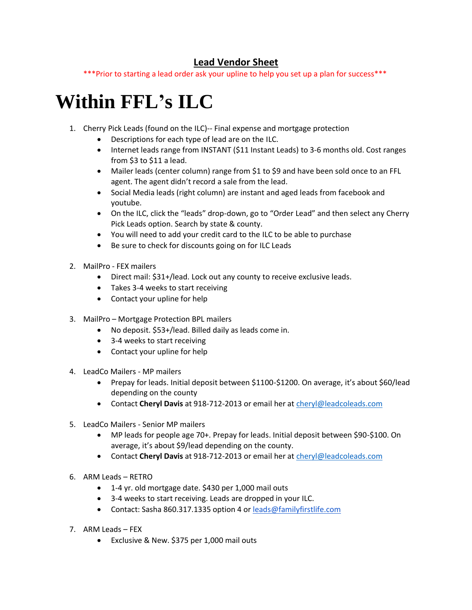## **Lead Vendor Sheet**

\*\*\*Prior to starting a lead order ask your upline to help you set up a plan for success\*\*\*

## **Within FFL's ILC**

- 1. Cherry Pick Leads (found on the ILC)-- Final expense and mortgage protection
	- Descriptions for each type of lead are on the ILC.
	- Internet leads range from INSTANT (\$11 Instant Leads) to 3-6 months old. Cost ranges from \$3 to \$11 a lead.
	- Mailer leads (center column) range from \$1 to \$9 and have been sold once to an FFL agent. The agent didn't record a sale from the lead.
	- Social Media leads (right column) are instant and aged leads from facebook and youtube.
	- On the ILC, click the "leads" drop-down, go to "Order Lead" and then select any Cherry Pick Leads option. Search by state & county.
	- You will need to add your credit card to the ILC to be able to purchase
	- Be sure to check for discounts going on for ILC Leads
- 2. MailPro FEX mailers
	- Direct mail: \$31+/lead. Lock out any county to receive exclusive leads.
	- Takes 3-4 weeks to start receiving
	- Contact your upline for help
- 3. MailPro Mortgage Protection BPL mailers
	- No deposit. \$53+/lead. Billed daily as leads come in.
	- 3-4 weeks to start receiving
	- Contact your upline for help
- 4. LeadCo Mailers MP mailers
	- Prepay for leads. Initial deposit between \$1100-\$1200. On average, it's about \$60/lead depending on the county
	- Contact **Cheryl Davis** at 918-712-2013 or email her at [cheryl@leadcoleads.com](mailto:cheryl@leadcoleads.com)
- 5. LeadCo Mailers Senior MP mailers
	- MP leads for people age 70+. Prepay for leads. Initial deposit between \$90-\$100. On average, it's about \$9/lead depending on the county.
	- Contact **Cheryl Davis** at 918-712-2013 or email her at [cheryl@leadcoleads.com](mailto:cheryl@leadcoleads.com)
- 6. ARM Leads RETRO
	- 1-4 yr. old mortgage date. \$430 per 1,000 mail outs
	- 3-4 weeks to start receiving. Leads are dropped in your ILC.
	- Contact: Sasha 860.317.1335 option 4 or [leads@familyfirstlife.com](mailto:leads@familyfirstlife.com)
- 7. ARM Leads FEX
	- Exclusive & New. \$375 per 1,000 mail outs